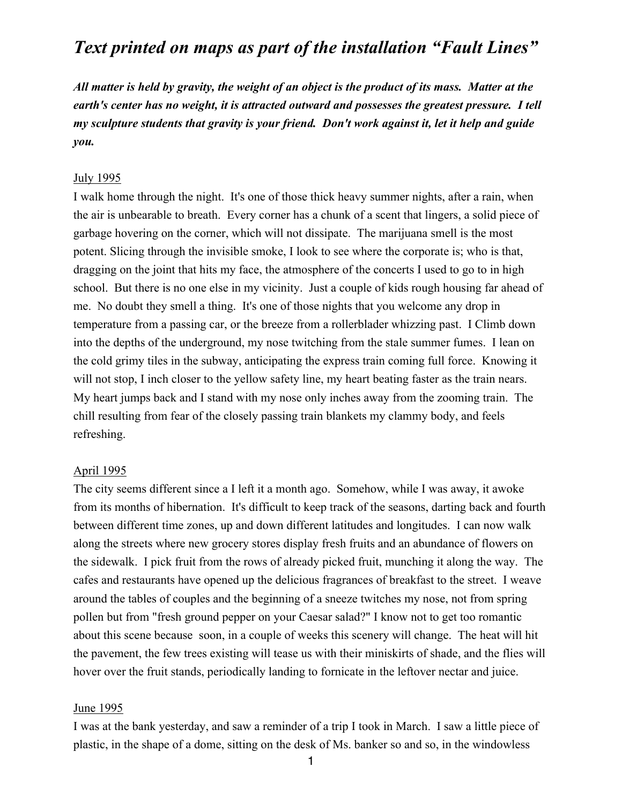# *Text printed on maps as part of the installation "Fault Lines"*

*All matter is held by gravity, the weight of an object is the product of its mass. Matter at the earth's center has no weight, it is attracted outward and possesses the greatest pressure. I tell my sculpture students that gravity is your friend. Don't work against it, let it help and guide you.*

#### July 1995

I walk home through the night. It's one of those thick heavy summer nights, after a rain, when the air is unbearable to breath. Every corner has a chunk of a scent that lingers, a solid piece of garbage hovering on the corner, which will not dissipate. The marijuana smell is the most potent. Slicing through the invisible smoke, I look to see where the corporate is; who is that, dragging on the joint that hits my face, the atmosphere of the concerts I used to go to in high school. But there is no one else in my vicinity. Just a couple of kids rough housing far ahead of me. No doubt they smell a thing. It's one of those nights that you welcome any drop in temperature from a passing car, or the breeze from a rollerblader whizzing past. I Climb down into the depths of the underground, my nose twitching from the stale summer fumes. I lean on the cold grimy tiles in the subway, anticipating the express train coming full force. Knowing it will not stop, I inch closer to the yellow safety line, my heart beating faster as the train nears. My heart jumps back and I stand with my nose only inches away from the zooming train. The chill resulting from fear of the closely passing train blankets my clammy body, and feels refreshing.

#### April 1995

The city seems different since a I left it a month ago. Somehow, while I was away, it awoke from its months of hibernation. It's difficult to keep track of the seasons, darting back and fourth between different time zones, up and down different latitudes and longitudes. I can now walk along the streets where new grocery stores display fresh fruits and an abundance of flowers on the sidewalk. I pick fruit from the rows of already picked fruit, munching it along the way. The cafes and restaurants have opened up the delicious fragrances of breakfast to the street. I weave around the tables of couples and the beginning of a sneeze twitches my nose, not from spring pollen but from "fresh ground pepper on your Caesar salad?" I know not to get too romantic about this scene because soon, in a couple of weeks this scenery will change. The heat will hit the pavement, the few trees existing will tease us with their miniskirts of shade, and the flies will hover over the fruit stands, periodically landing to fornicate in the leftover nectar and juice.

#### June 1995

I was at the bank yesterday, and saw a reminder of a trip I took in March. I saw a little piece of plastic, in the shape of a dome, sitting on the desk of Ms. banker so and so, in the windowless

1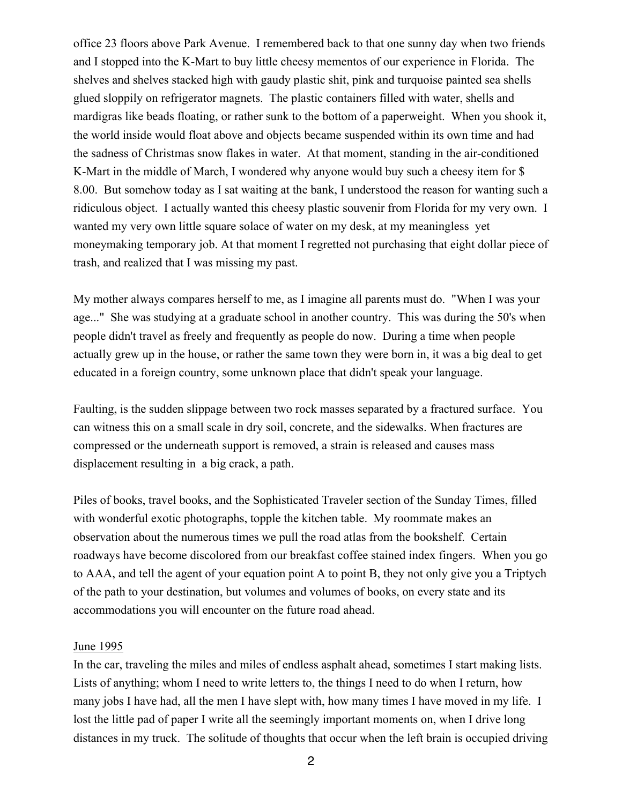office 23 floors above Park Avenue. I remembered back to that one sunny day when two friends and I stopped into the K-Mart to buy little cheesy mementos of our experience in Florida. The shelves and shelves stacked high with gaudy plastic shit, pink and turquoise painted sea shells glued sloppily on refrigerator magnets. The plastic containers filled with water, shells and mardigras like beads floating, or rather sunk to the bottom of a paperweight. When you shook it, the world inside would float above and objects became suspended within its own time and had the sadness of Christmas snow flakes in water. At that moment, standing in the air-conditioned K-Mart in the middle of March, I wondered why anyone would buy such a cheesy item for \$ 8.00. But somehow today as I sat waiting at the bank, I understood the reason for wanting such a ridiculous object. I actually wanted this cheesy plastic souvenir from Florida for my very own. I wanted my very own little square solace of water on my desk, at my meaningless yet moneymaking temporary job. At that moment I regretted not purchasing that eight dollar piece of trash, and realized that I was missing my past.

My mother always compares herself to me, as I imagine all parents must do. "When I was your age..." She was studying at a graduate school in another country. This was during the 50's when people didn't travel as freely and frequently as people do now. During a time when people actually grew up in the house, or rather the same town they were born in, it was a big deal to get educated in a foreign country, some unknown place that didn't speak your language.

Faulting, is the sudden slippage between two rock masses separated by a fractured surface. You can witness this on a small scale in dry soil, concrete, and the sidewalks. When fractures are compressed or the underneath support is removed, a strain is released and causes mass displacement resulting in a big crack, a path.

Piles of books, travel books, and the Sophisticated Traveler section of the Sunday Times, filled with wonderful exotic photographs, topple the kitchen table. My roommate makes an observation about the numerous times we pull the road atlas from the bookshelf. Certain roadways have become discolored from our breakfast coffee stained index fingers. When you go to AAA, and tell the agent of your equation point A to point B, they not only give you a Triptych of the path to your destination, but volumes and volumes of books, on every state and its accommodations you will encounter on the future road ahead.

### June 1995

In the car, traveling the miles and miles of endless asphalt ahead, sometimes I start making lists. Lists of anything; whom I need to write letters to, the things I need to do when I return, how many jobs I have had, all the men I have slept with, how many times I have moved in my life. I lost the little pad of paper I write all the seemingly important moments on, when I drive long distances in my truck. The solitude of thoughts that occur when the left brain is occupied driving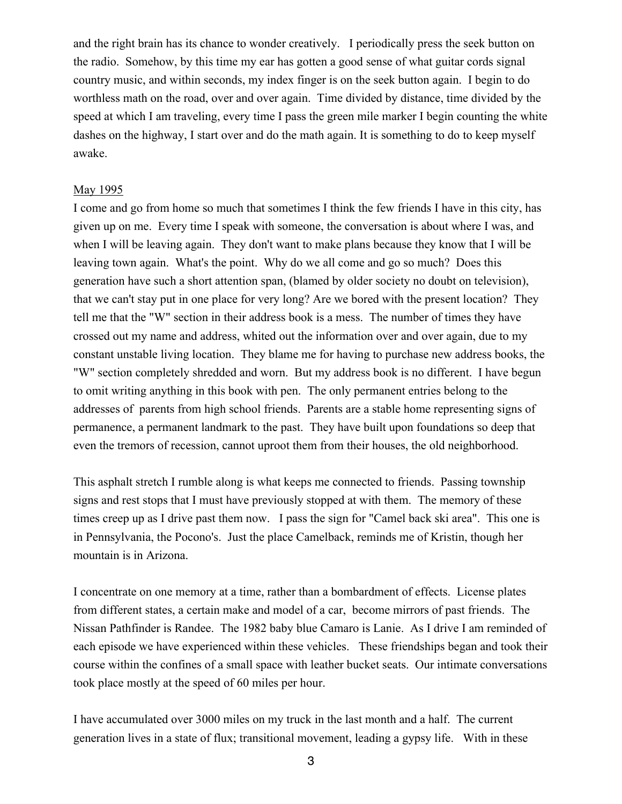and the right brain has its chance to wonder creatively. I periodically press the seek button on the radio. Somehow, by this time my ear has gotten a good sense of what guitar cords signal country music, and within seconds, my index finger is on the seek button again. I begin to do worthless math on the road, over and over again. Time divided by distance, time divided by the speed at which I am traveling, every time I pass the green mile marker I begin counting the white dashes on the highway, I start over and do the math again. It is something to do to keep myself awake.

#### May 1995

I come and go from home so much that sometimes I think the few friends I have in this city, has given up on me. Every time I speak with someone, the conversation is about where I was, and when I will be leaving again. They don't want to make plans because they know that I will be leaving town again. What's the point. Why do we all come and go so much? Does this generation have such a short attention span, (blamed by older society no doubt on television), that we can't stay put in one place for very long? Are we bored with the present location? They tell me that the "W" section in their address book is a mess. The number of times they have crossed out my name and address, whited out the information over and over again, due to my constant unstable living location. They blame me for having to purchase new address books, the "W" section completely shredded and worn. But my address book is no different. I have begun to omit writing anything in this book with pen. The only permanent entries belong to the addresses of parents from high school friends. Parents are a stable home representing signs of permanence, a permanent landmark to the past. They have built upon foundations so deep that even the tremors of recession, cannot uproot them from their houses, the old neighborhood.

This asphalt stretch I rumble along is what keeps me connected to friends. Passing township signs and rest stops that I must have previously stopped at with them. The memory of these times creep up as I drive past them now. I pass the sign for "Camel back ski area". This one is in Pennsylvania, the Pocono's. Just the place Camelback, reminds me of Kristin, though her mountain is in Arizona.

I concentrate on one memory at a time, rather than a bombardment of effects. License plates from different states, a certain make and model of a car, become mirrors of past friends. The Nissan Pathfinder is Randee. The 1982 baby blue Camaro is Lanie. As I drive I am reminded of each episode we have experienced within these vehicles. These friendships began and took their course within the confines of a small space with leather bucket seats. Our intimate conversations took place mostly at the speed of 60 miles per hour.

I have accumulated over 3000 miles on my truck in the last month and a half. The current generation lives in a state of flux; transitional movement, leading a gypsy life. With in these

3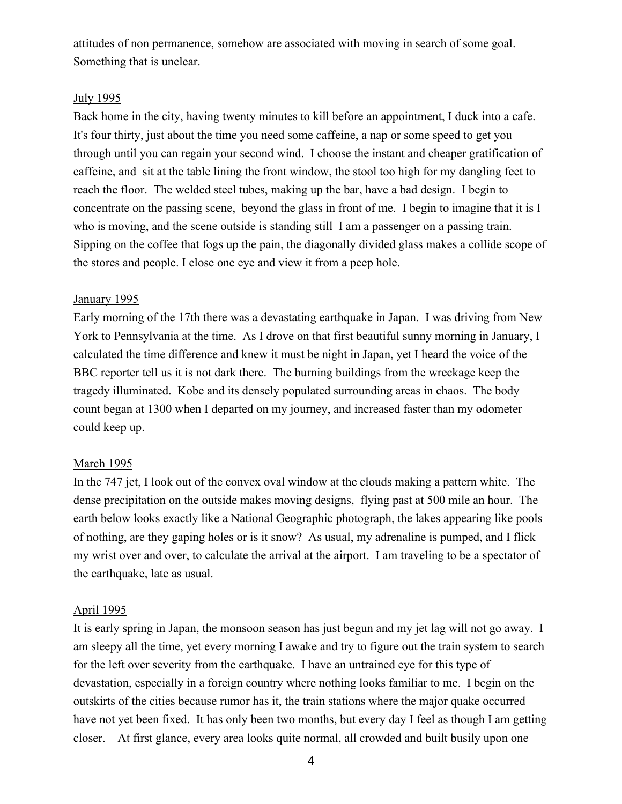attitudes of non permanence, somehow are associated with moving in search of some goal. Something that is unclear.

# July 1995

Back home in the city, having twenty minutes to kill before an appointment, I duck into a cafe. It's four thirty, just about the time you need some caffeine, a nap or some speed to get you through until you can regain your second wind. I choose the instant and cheaper gratification of caffeine, and sit at the table lining the front window, the stool too high for my dangling feet to reach the floor. The welded steel tubes, making up the bar, have a bad design. I begin to concentrate on the passing scene, beyond the glass in front of me. I begin to imagine that it is I who is moving, and the scene outside is standing still I am a passenger on a passing train. Sipping on the coffee that fogs up the pain, the diagonally divided glass makes a collide scope of the stores and people. I close one eye and view it from a peep hole.

## January 1995

Early morning of the 17th there was a devastating earthquake in Japan. I was driving from New York to Pennsylvania at the time. As I drove on that first beautiful sunny morning in January, I calculated the time difference and knew it must be night in Japan, yet I heard the voice of the BBC reporter tell us it is not dark there. The burning buildings from the wreckage keep the tragedy illuminated. Kobe and its densely populated surrounding areas in chaos. The body count began at 1300 when I departed on my journey, and increased faster than my odometer could keep up.

# March 1995

In the 747 jet, I look out of the convex oval window at the clouds making a pattern white. The dense precipitation on the outside makes moving designs, flying past at 500 mile an hour. The earth below looks exactly like a National Geographic photograph, the lakes appearing like pools of nothing, are they gaping holes or is it snow? As usual, my adrenaline is pumped, and I flick my wrist over and over, to calculate the arrival at the airport. I am traveling to be a spectator of the earthquake, late as usual.

## April 1995

It is early spring in Japan, the monsoon season has just begun and my jet lag will not go away. I am sleepy all the time, yet every morning I awake and try to figure out the train system to search for the left over severity from the earthquake. I have an untrained eye for this type of devastation, especially in a foreign country where nothing looks familiar to me. I begin on the outskirts of the cities because rumor has it, the train stations where the major quake occurred have not yet been fixed. It has only been two months, but every day I feel as though I am getting closer. At first glance, every area looks quite normal, all crowded and built busily upon one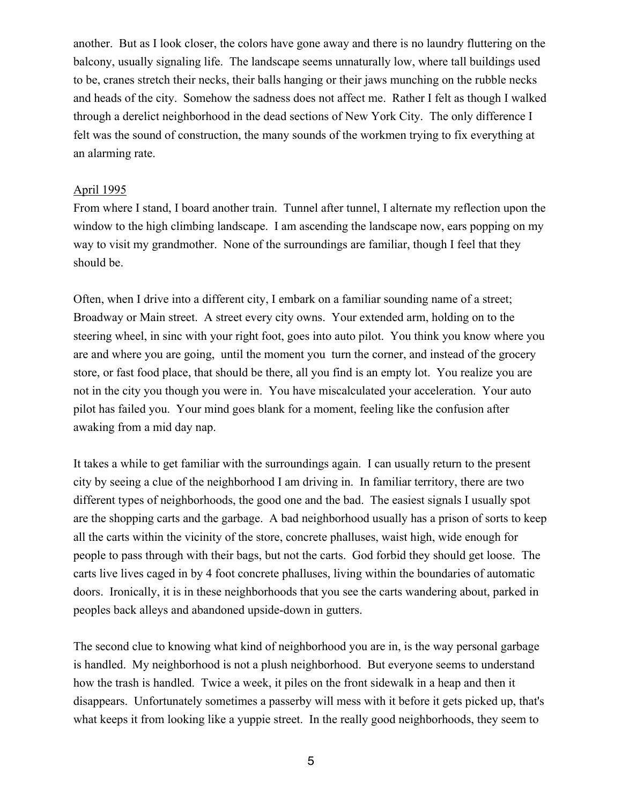another. But as I look closer, the colors have gone away and there is no laundry fluttering on the balcony, usually signaling life. The landscape seems unnaturally low, where tall buildings used to be, cranes stretch their necks, their balls hanging or their jaws munching on the rubble necks and heads of the city. Somehow the sadness does not affect me. Rather I felt as though I walked through a derelict neighborhood in the dead sections of New York City. The only difference I felt was the sound of construction, the many sounds of the workmen trying to fix everything at an alarming rate.

### April 1995

From where I stand, I board another train. Tunnel after tunnel, I alternate my reflection upon the window to the high climbing landscape. I am ascending the landscape now, ears popping on my way to visit my grandmother. None of the surroundings are familiar, though I feel that they should be.

Often, when I drive into a different city, I embark on a familiar sounding name of a street; Broadway or Main street. A street every city owns. Your extended arm, holding on to the steering wheel, in sinc with your right foot, goes into auto pilot. You think you know where you are and where you are going, until the moment you turn the corner, and instead of the grocery store, or fast food place, that should be there, all you find is an empty lot. You realize you are not in the city you though you were in. You have miscalculated your acceleration. Your auto pilot has failed you. Your mind goes blank for a moment, feeling like the confusion after awaking from a mid day nap.

It takes a while to get familiar with the surroundings again. I can usually return to the present city by seeing a clue of the neighborhood I am driving in. In familiar territory, there are two different types of neighborhoods, the good one and the bad. The easiest signals I usually spot are the shopping carts and the garbage. A bad neighborhood usually has a prison of sorts to keep all the carts within the vicinity of the store, concrete phalluses, waist high, wide enough for people to pass through with their bags, but not the carts. God forbid they should get loose. The carts live lives caged in by 4 foot concrete phalluses, living within the boundaries of automatic doors. Ironically, it is in these neighborhoods that you see the carts wandering about, parked in peoples back alleys and abandoned upside-down in gutters.

The second clue to knowing what kind of neighborhood you are in, is the way personal garbage is handled. My neighborhood is not a plush neighborhood. But everyone seems to understand how the trash is handled. Twice a week, it piles on the front sidewalk in a heap and then it disappears. Unfortunately sometimes a passerby will mess with it before it gets picked up, that's what keeps it from looking like a yuppie street. In the really good neighborhoods, they seem to